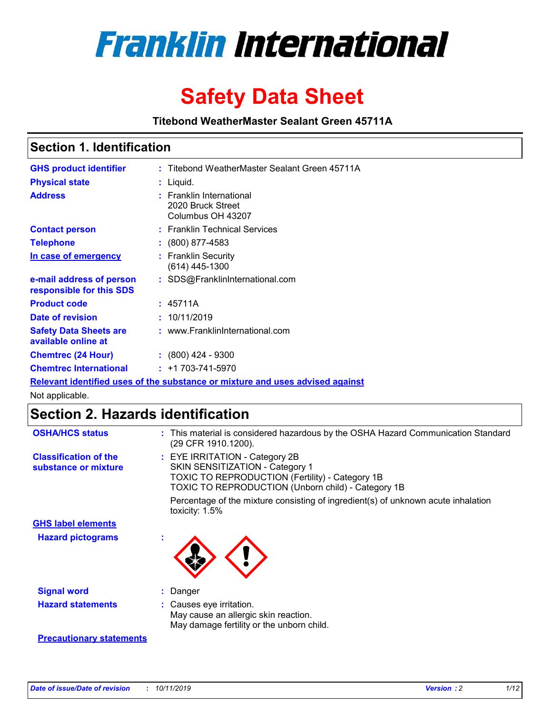

# **Safety Data Sheet**

**Titebond WeatherMaster Sealant Green 45711A**

### **Section 1. Identification**

| <b>GHS product identifier</b>                        | : Titebond WeatherMaster Sealant Green 45711A                                 |
|------------------------------------------------------|-------------------------------------------------------------------------------|
| <b>Physical state</b>                                | : Liquid.                                                                     |
| <b>Address</b>                                       | : Franklin International<br>2020 Bruck Street<br>Columbus OH 43207            |
| <b>Contact person</b>                                | : Franklin Technical Services                                                 |
| <b>Telephone</b>                                     | : (800) 877-4583                                                              |
| In case of emergency                                 | : Franklin Security<br>(614) 445-1300                                         |
| e-mail address of person<br>responsible for this SDS | : SDS@FranklinInternational.com                                               |
| <b>Product code</b>                                  | : 45711A                                                                      |
| Date of revision                                     | : 10/11/2019                                                                  |
| <b>Safety Data Sheets are</b><br>available online at | : www.FranklinInternational.com                                               |
| <b>Chemtrec (24 Hour)</b>                            | : (800) 424 - 9300                                                            |
| <b>Chemtrec International</b>                        | $: +1703 - 741 - 5970$                                                        |
|                                                      | Relevant identified uses of the substance or mixture and uses advised against |

Not applicable.

## **Section 2. Hazards identification**

| <b>OSHA/HCS status</b>                               | : This material is considered hazardous by the OSHA Hazard Communication Standard<br>(29 CFR 1910.1200).                                                                                 |
|------------------------------------------------------|------------------------------------------------------------------------------------------------------------------------------------------------------------------------------------------|
| <b>Classification of the</b><br>substance or mixture | : EYE IRRITATION - Category 2B<br>SKIN SENSITIZATION - Category 1<br><b>TOXIC TO REPRODUCTION (Fertility) - Category 1B</b><br><b>TOXIC TO REPRODUCTION (Unborn child) - Category 1B</b> |
|                                                      | Percentage of the mixture consisting of ingredient(s) of unknown acute inhalation<br>toxicity: $1.5\%$                                                                                   |
| <b>GHS label elements</b>                            |                                                                                                                                                                                          |
| <b>Hazard pictograms</b>                             |                                                                                                                                                                                          |
| <b>Signal word</b>                                   | : Danger                                                                                                                                                                                 |
| <b>Hazard statements</b>                             | : Causes eye irritation.<br>May cause an allergic skin reaction.<br>May damage fertility or the unborn child.                                                                            |
| <b>Precautionary statements</b>                      |                                                                                                                                                                                          |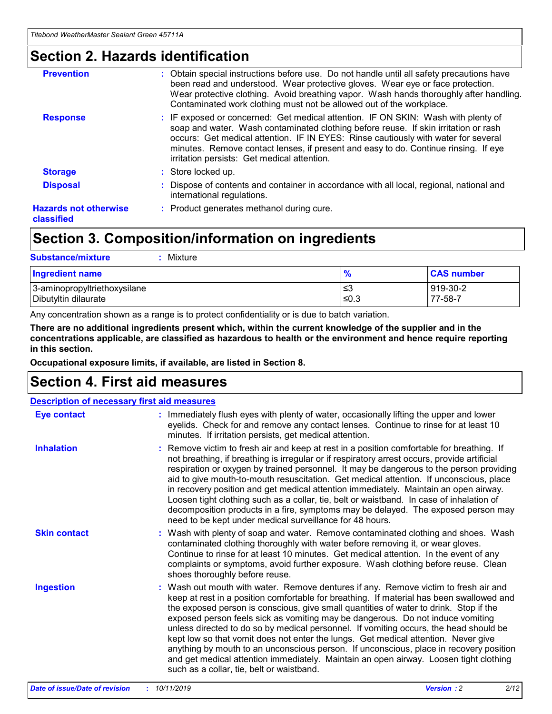### **Section 2. Hazards identification**

| <b>Prevention</b>                          | : Obtain special instructions before use. Do not handle until all safety precautions have<br>been read and understood. Wear protective gloves. Wear eye or face protection.<br>Wear protective clothing. Avoid breathing vapor. Wash hands thoroughly after handling.<br>Contaminated work clothing must not be allowed out of the workplace.                                                        |
|--------------------------------------------|------------------------------------------------------------------------------------------------------------------------------------------------------------------------------------------------------------------------------------------------------------------------------------------------------------------------------------------------------------------------------------------------------|
| <b>Response</b>                            | : IF exposed or concerned: Get medical attention. IF ON SKIN: Wash with plenty of<br>soap and water. Wash contaminated clothing before reuse. If skin irritation or rash<br>occurs: Get medical attention. IF IN EYES: Rinse cautiously with water for several<br>minutes. Remove contact lenses, if present and easy to do. Continue rinsing. If eye<br>irritation persists: Get medical attention. |
| <b>Storage</b>                             | : Store locked up.                                                                                                                                                                                                                                                                                                                                                                                   |
| <b>Disposal</b>                            | : Dispose of contents and container in accordance with all local, regional, national and<br>international regulations.                                                                                                                                                                                                                                                                               |
| <b>Hazards not otherwise</b><br>classified | : Product generates methanol during cure.                                                                                                                                                                                                                                                                                                                                                            |
|                                            |                                                                                                                                                                                                                                                                                                                                                                                                      |

### **Section 3. Composition/information on ingredients**

| <b>Substance/mixture</b><br>: Mixture                |                   |                     |
|------------------------------------------------------|-------------------|---------------------|
| Ingredient name                                      | $\frac{9}{6}$     | <b>CAS number</b>   |
| 3-aminopropyltriethoxysilane<br>Dibutyltin dilaurate | ∣≤3<br>$\leq 0.3$ | 919-30-2<br>77-58-7 |

Any concentration shown as a range is to protect confidentiality or is due to batch variation.

**There are no additional ingredients present which, within the current knowledge of the supplier and in the concentrations applicable, are classified as hazardous to health or the environment and hence require reporting in this section.**

**Occupational exposure limits, if available, are listed in Section 8.**

### **Section 4. First aid measures**

| <b>Description of necessary first aid measures</b> |                                                                                                                                                                                                                                                                                                                                                                                                                                                                                                                                                                                                                                                                                                                                                                           |  |  |  |
|----------------------------------------------------|---------------------------------------------------------------------------------------------------------------------------------------------------------------------------------------------------------------------------------------------------------------------------------------------------------------------------------------------------------------------------------------------------------------------------------------------------------------------------------------------------------------------------------------------------------------------------------------------------------------------------------------------------------------------------------------------------------------------------------------------------------------------------|--|--|--|
| <b>Eye contact</b>                                 | : Immediately flush eyes with plenty of water, occasionally lifting the upper and lower<br>eyelids. Check for and remove any contact lenses. Continue to rinse for at least 10<br>minutes. If irritation persists, get medical attention.                                                                                                                                                                                                                                                                                                                                                                                                                                                                                                                                 |  |  |  |
| <b>Inhalation</b>                                  | : Remove victim to fresh air and keep at rest in a position comfortable for breathing. If<br>not breathing, if breathing is irregular or if respiratory arrest occurs, provide artificial<br>respiration or oxygen by trained personnel. It may be dangerous to the person providing<br>aid to give mouth-to-mouth resuscitation. Get medical attention. If unconscious, place<br>in recovery position and get medical attention immediately. Maintain an open airway.<br>Loosen tight clothing such as a collar, tie, belt or waistband. In case of inhalation of<br>decomposition products in a fire, symptoms may be delayed. The exposed person may<br>need to be kept under medical surveillance for 48 hours.                                                       |  |  |  |
| <b>Skin contact</b>                                | : Wash with plenty of soap and water. Remove contaminated clothing and shoes. Wash<br>contaminated clothing thoroughly with water before removing it, or wear gloves.<br>Continue to rinse for at least 10 minutes. Get medical attention. In the event of any<br>complaints or symptoms, avoid further exposure. Wash clothing before reuse. Clean<br>shoes thoroughly before reuse.                                                                                                                                                                                                                                                                                                                                                                                     |  |  |  |
| <b>Ingestion</b>                                   | : Wash out mouth with water. Remove dentures if any. Remove victim to fresh air and<br>keep at rest in a position comfortable for breathing. If material has been swallowed and<br>the exposed person is conscious, give small quantities of water to drink. Stop if the<br>exposed person feels sick as vomiting may be dangerous. Do not induce vomiting<br>unless directed to do so by medical personnel. If vomiting occurs, the head should be<br>kept low so that vomit does not enter the lungs. Get medical attention. Never give<br>anything by mouth to an unconscious person. If unconscious, place in recovery position<br>and get medical attention immediately. Maintain an open airway. Loosen tight clothing<br>such as a collar, tie, belt or waistband. |  |  |  |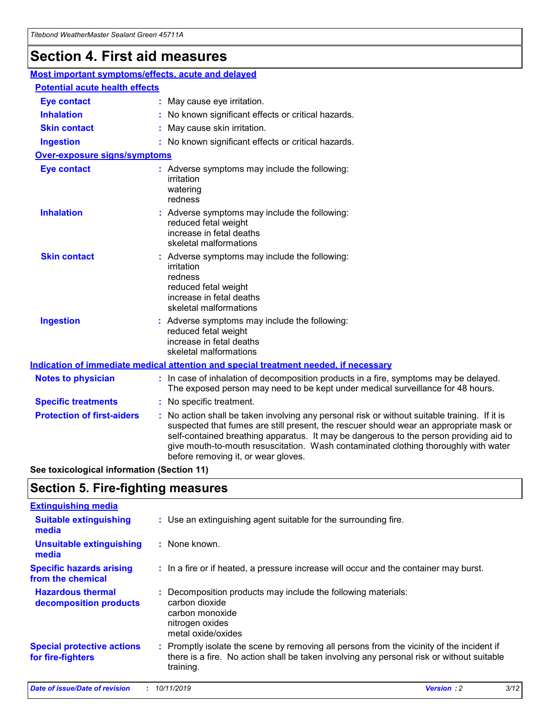## **Section 4. First aid measures**

| Most important symptoms/effects, acute and delayed |                                       |                                                                                                                                                                                                                                                                                                                                                                                                                 |  |  |  |
|----------------------------------------------------|---------------------------------------|-----------------------------------------------------------------------------------------------------------------------------------------------------------------------------------------------------------------------------------------------------------------------------------------------------------------------------------------------------------------------------------------------------------------|--|--|--|
|                                                    | <b>Potential acute health effects</b> |                                                                                                                                                                                                                                                                                                                                                                                                                 |  |  |  |
| <b>Eye contact</b>                                 |                                       | : May cause eye irritation.                                                                                                                                                                                                                                                                                                                                                                                     |  |  |  |
| <b>Inhalation</b>                                  |                                       | : No known significant effects or critical hazards.                                                                                                                                                                                                                                                                                                                                                             |  |  |  |
| <b>Skin contact</b>                                |                                       | : May cause skin irritation.                                                                                                                                                                                                                                                                                                                                                                                    |  |  |  |
| <b>Ingestion</b>                                   |                                       | : No known significant effects or critical hazards.                                                                                                                                                                                                                                                                                                                                                             |  |  |  |
| Over-exposure signs/symptoms                       |                                       |                                                                                                                                                                                                                                                                                                                                                                                                                 |  |  |  |
| <b>Eye contact</b>                                 |                                       | : Adverse symptoms may include the following:<br>irritation<br>watering<br>redness                                                                                                                                                                                                                                                                                                                              |  |  |  |
| <b>Inhalation</b>                                  |                                       | : Adverse symptoms may include the following:<br>reduced fetal weight<br>increase in fetal deaths<br>skeletal malformations                                                                                                                                                                                                                                                                                     |  |  |  |
| <b>Skin contact</b>                                |                                       | : Adverse symptoms may include the following:<br>irritation<br>redness<br>reduced fetal weight<br>increase in fetal deaths<br>skeletal malformations                                                                                                                                                                                                                                                            |  |  |  |
| <b>Ingestion</b>                                   |                                       | : Adverse symptoms may include the following:<br>reduced fetal weight<br>increase in fetal deaths<br>skeletal malformations                                                                                                                                                                                                                                                                                     |  |  |  |
|                                                    |                                       | <b>Indication of immediate medical attention and special treatment needed, if necessary</b>                                                                                                                                                                                                                                                                                                                     |  |  |  |
| <b>Notes to physician</b>                          |                                       | : In case of inhalation of decomposition products in a fire, symptoms may be delayed.<br>The exposed person may need to be kept under medical surveillance for 48 hours.                                                                                                                                                                                                                                        |  |  |  |
| <b>Specific treatments</b>                         |                                       | : No specific treatment.                                                                                                                                                                                                                                                                                                                                                                                        |  |  |  |
| <b>Protection of first-aiders</b>                  |                                       | : No action shall be taken involving any personal risk or without suitable training. If it is<br>suspected that fumes are still present, the rescuer should wear an appropriate mask or<br>self-contained breathing apparatus. It may be dangerous to the person providing aid to<br>give mouth-to-mouth resuscitation. Wash contaminated clothing thoroughly with water<br>before removing it, or wear gloves. |  |  |  |

**See toxicological information (Section 11)**

### **Section 5. Fire-fighting measures**

| <b>Extinguishing media</b>                             |                                                                                                                                                                                                     |
|--------------------------------------------------------|-----------------------------------------------------------------------------------------------------------------------------------------------------------------------------------------------------|
| <b>Suitable extinguishing</b><br>media                 | : Use an extinguishing agent suitable for the surrounding fire.                                                                                                                                     |
| <b>Unsuitable extinguishing</b><br>media               | $:$ None known.                                                                                                                                                                                     |
| <b>Specific hazards arising</b><br>from the chemical   | : In a fire or if heated, a pressure increase will occur and the container may burst.                                                                                                               |
| <b>Hazardous thermal</b><br>decomposition products     | : Decomposition products may include the following materials:<br>carbon dioxide<br>carbon monoxide<br>nitrogen oxides<br>metal oxide/oxides                                                         |
| <b>Special protective actions</b><br>for fire-fighters | : Promptly isolate the scene by removing all persons from the vicinity of the incident if<br>there is a fire. No action shall be taken involving any personal risk or without suitable<br>training. |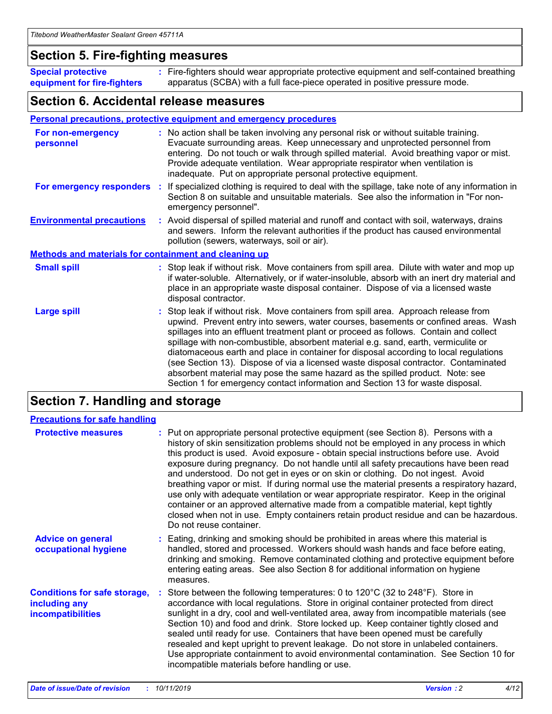### **Section 5. Fire-fighting measures**

**Special protective equipment for fire-fighters** Fire-fighters should wear appropriate protective equipment and self-contained breathing **:** apparatus (SCBA) with a full face-piece operated in positive pressure mode.

### **Section 6. Accidental release measures**

#### **Personal precautions, protective equipment and emergency procedures**

| For non-emergency<br>personnel                               | : No action shall be taken involving any personal risk or without suitable training.<br>Evacuate surrounding areas. Keep unnecessary and unprotected personnel from<br>entering. Do not touch or walk through spilled material. Avoid breathing vapor or mist.<br>Provide adequate ventilation. Wear appropriate respirator when ventilation is<br>inadequate. Put on appropriate personal protective equipment.                                                                                                                                                                                                                                                                                             |
|--------------------------------------------------------------|--------------------------------------------------------------------------------------------------------------------------------------------------------------------------------------------------------------------------------------------------------------------------------------------------------------------------------------------------------------------------------------------------------------------------------------------------------------------------------------------------------------------------------------------------------------------------------------------------------------------------------------------------------------------------------------------------------------|
|                                                              | For emergency responders : If specialized clothing is required to deal with the spillage, take note of any information in<br>Section 8 on suitable and unsuitable materials. See also the information in "For non-<br>emergency personnel".                                                                                                                                                                                                                                                                                                                                                                                                                                                                  |
| <b>Environmental precautions</b>                             | : Avoid dispersal of spilled material and runoff and contact with soil, waterways, drains<br>and sewers. Inform the relevant authorities if the product has caused environmental<br>pollution (sewers, waterways, soil or air).                                                                                                                                                                                                                                                                                                                                                                                                                                                                              |
| <b>Methods and materials for containment and cleaning up</b> |                                                                                                                                                                                                                                                                                                                                                                                                                                                                                                                                                                                                                                                                                                              |
| <b>Small spill</b>                                           | : Stop leak if without risk. Move containers from spill area. Dilute with water and mop up<br>if water-soluble. Alternatively, or if water-insoluble, absorb with an inert dry material and<br>place in an appropriate waste disposal container. Dispose of via a licensed waste<br>disposal contractor.                                                                                                                                                                                                                                                                                                                                                                                                     |
| <b>Large spill</b>                                           | : Stop leak if without risk. Move containers from spill area. Approach release from<br>upwind. Prevent entry into sewers, water courses, basements or confined areas. Wash<br>spillages into an effluent treatment plant or proceed as follows. Contain and collect<br>spillage with non-combustible, absorbent material e.g. sand, earth, vermiculite or<br>diatomaceous earth and place in container for disposal according to local regulations<br>(see Section 13). Dispose of via a licensed waste disposal contractor. Contaminated<br>absorbent material may pose the same hazard as the spilled product. Note: see<br>Section 1 for emergency contact information and Section 13 for waste disposal. |

### **Section 7. Handling and storage**

| <b>Precautions for safe handling</b>                                             |                                                                                                                                                                                                                                                                                                                                                                                                                                                                                                                                                                                                                                                                                                                                                                                                                                                  |
|----------------------------------------------------------------------------------|--------------------------------------------------------------------------------------------------------------------------------------------------------------------------------------------------------------------------------------------------------------------------------------------------------------------------------------------------------------------------------------------------------------------------------------------------------------------------------------------------------------------------------------------------------------------------------------------------------------------------------------------------------------------------------------------------------------------------------------------------------------------------------------------------------------------------------------------------|
| <b>Protective measures</b>                                                       | : Put on appropriate personal protective equipment (see Section 8). Persons with a<br>history of skin sensitization problems should not be employed in any process in which<br>this product is used. Avoid exposure - obtain special instructions before use. Avoid<br>exposure during pregnancy. Do not handle until all safety precautions have been read<br>and understood. Do not get in eyes or on skin or clothing. Do not ingest. Avoid<br>breathing vapor or mist. If during normal use the material presents a respiratory hazard,<br>use only with adequate ventilation or wear appropriate respirator. Keep in the original<br>container or an approved alternative made from a compatible material, kept tightly<br>closed when not in use. Empty containers retain product residue and can be hazardous.<br>Do not reuse container. |
| <b>Advice on general</b><br>occupational hygiene                                 | : Eating, drinking and smoking should be prohibited in areas where this material is<br>handled, stored and processed. Workers should wash hands and face before eating,<br>drinking and smoking. Remove contaminated clothing and protective equipment before<br>entering eating areas. See also Section 8 for additional information on hygiene<br>measures.                                                                                                                                                                                                                                                                                                                                                                                                                                                                                    |
| <b>Conditions for safe storage,</b><br>including any<br><b>incompatibilities</b> | : Store between the following temperatures: 0 to 120 $\degree$ C (32 to 248 $\degree$ F). Store in<br>accordance with local regulations. Store in original container protected from direct<br>sunlight in a dry, cool and well-ventilated area, away from incompatible materials (see<br>Section 10) and food and drink. Store locked up. Keep container tightly closed and<br>sealed until ready for use. Containers that have been opened must be carefully<br>resealed and kept upright to prevent leakage. Do not store in unlabeled containers.<br>Use appropriate containment to avoid environmental contamination. See Section 10 for<br>incompatible materials before handling or use.                                                                                                                                                   |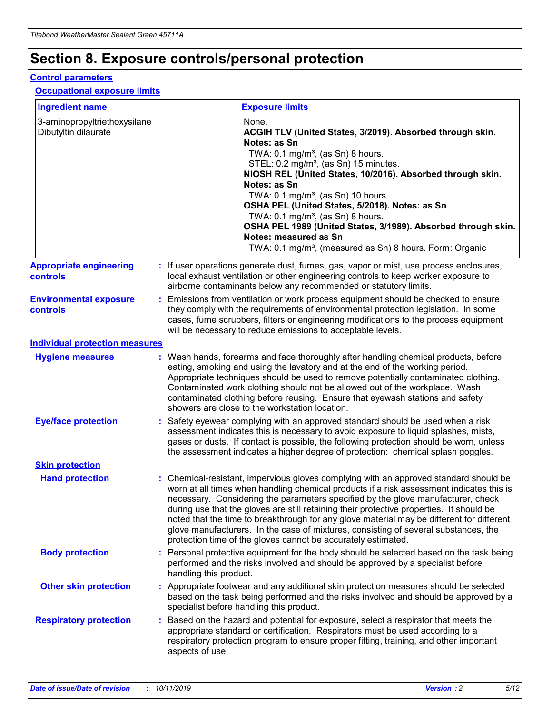## **Section 8. Exposure controls/personal protection**

#### **Control parameters**

#### **Occupational exposure limits**

| <b>Ingredient name</b>                               |    |                        | <b>Exposure limits</b>                                                                                                                                                                                                                                                                                                                                                                                                                                                                                                                                                                                                 |
|------------------------------------------------------|----|------------------------|------------------------------------------------------------------------------------------------------------------------------------------------------------------------------------------------------------------------------------------------------------------------------------------------------------------------------------------------------------------------------------------------------------------------------------------------------------------------------------------------------------------------------------------------------------------------------------------------------------------------|
| 3-aminopropyltriethoxysilane<br>Dibutyltin dilaurate |    |                        | None.<br>ACGIH TLV (United States, 3/2019). Absorbed through skin.<br>Notes: as Sn<br>TWA: $0.1 \text{ mg/m}^3$ , (as Sn) 8 hours.<br>STEL: 0.2 mg/m <sup>3</sup> , (as Sn) 15 minutes.<br>NIOSH REL (United States, 10/2016). Absorbed through skin.<br>Notes: as Sn<br>TWA: 0.1 mg/m <sup>3</sup> , (as Sn) 10 hours.<br>OSHA PEL (United States, 5/2018). Notes: as Sn<br>TWA: 0.1 mg/m <sup>3</sup> , (as Sn) 8 hours.<br>OSHA PEL 1989 (United States, 3/1989). Absorbed through skin.<br>Notes: measured as Sn<br>TWA: 0.1 mg/m <sup>3</sup> , (measured as Sn) 8 hours. Form: Organic                           |
| <b>Appropriate engineering</b><br>controls           |    |                        | : If user operations generate dust, fumes, gas, vapor or mist, use process enclosures,<br>local exhaust ventilation or other engineering controls to keep worker exposure to<br>airborne contaminants below any recommended or statutory limits.                                                                                                                                                                                                                                                                                                                                                                       |
| <b>Environmental exposure</b><br>controls            |    |                        | Emissions from ventilation or work process equipment should be checked to ensure<br>they comply with the requirements of environmental protection legislation. In some<br>cases, fume scrubbers, filters or engineering modifications to the process equipment<br>will be necessary to reduce emissions to acceptable levels.                                                                                                                                                                                                                                                                                          |
| <b>Individual protection measures</b>                |    |                        |                                                                                                                                                                                                                                                                                                                                                                                                                                                                                                                                                                                                                        |
| <b>Hygiene measures</b>                              |    |                        | : Wash hands, forearms and face thoroughly after handling chemical products, before<br>eating, smoking and using the lavatory and at the end of the working period.<br>Appropriate techniques should be used to remove potentially contaminated clothing.<br>Contaminated work clothing should not be allowed out of the workplace. Wash<br>contaminated clothing before reusing. Ensure that eyewash stations and safety<br>showers are close to the workstation location.                                                                                                                                            |
| <b>Eye/face protection</b>                           |    |                        | Safety eyewear complying with an approved standard should be used when a risk<br>assessment indicates this is necessary to avoid exposure to liquid splashes, mists,<br>gases or dusts. If contact is possible, the following protection should be worn, unless<br>the assessment indicates a higher degree of protection: chemical splash goggles.                                                                                                                                                                                                                                                                    |
| <b>Skin protection</b>                               |    |                        |                                                                                                                                                                                                                                                                                                                                                                                                                                                                                                                                                                                                                        |
| <b>Hand protection</b>                               |    |                        | : Chemical-resistant, impervious gloves complying with an approved standard should be<br>worn at all times when handling chemical products if a risk assessment indicates this is<br>necessary. Considering the parameters specified by the glove manufacturer, check<br>during use that the gloves are still retaining their protective properties. It should be<br>noted that the time to breakthrough for any glove material may be different for different<br>glove manufacturers. In the case of mixtures, consisting of several substances, the<br>protection time of the gloves cannot be accurately estimated. |
| <b>Body protection</b>                               |    | handling this product. | Personal protective equipment for the body should be selected based on the task being<br>performed and the risks involved and should be approved by a specialist before                                                                                                                                                                                                                                                                                                                                                                                                                                                |
| <b>Other skin protection</b>                         |    |                        | : Appropriate footwear and any additional skin protection measures should be selected<br>based on the task being performed and the risks involved and should be approved by a<br>specialist before handling this product.                                                                                                                                                                                                                                                                                                                                                                                              |
| <b>Respiratory protection</b>                        | ÷. | aspects of use.        | Based on the hazard and potential for exposure, select a respirator that meets the<br>appropriate standard or certification. Respirators must be used according to a<br>respiratory protection program to ensure proper fitting, training, and other important                                                                                                                                                                                                                                                                                                                                                         |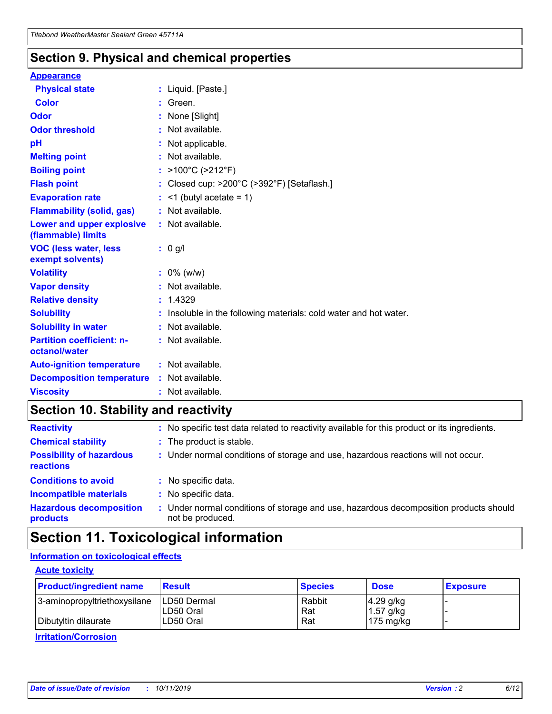### **Section 9. Physical and chemical properties**

#### **Appearance**

| <b>Physical state</b>                             | : Liquid. [Paste.]                                              |
|---------------------------------------------------|-----------------------------------------------------------------|
| Color                                             | Green.                                                          |
| Odor                                              | : None [Slight]                                                 |
| <b>Odor threshold</b>                             | : Not available.                                                |
| рH                                                | : Not applicable.                                               |
| <b>Melting point</b>                              | : Not available.                                                |
| <b>Boiling point</b>                              | : $>100^{\circ}$ C ( $>212^{\circ}$ F)                          |
| <b>Flash point</b>                                | : Closed cup: $>200^{\circ}$ C ( $>392^{\circ}$ F) [Setaflash.] |
| <b>Evaporation rate</b>                           | $:$ <1 (butyl acetate = 1)                                      |
| <b>Flammability (solid, gas)</b>                  | : Not available.                                                |
| Lower and upper explosive<br>(flammable) limits   | : Not available.                                                |
| <b>VOC (less water, less</b><br>exempt solvents)  | : 0 g/l                                                         |
| <b>Volatility</b>                                 | $: 0\%$ (w/w)                                                   |
| <b>Vapor density</b>                              | : Not available.                                                |
| <b>Relative density</b>                           | : 1.4329                                                        |
| <b>Solubility</b>                                 | Insoluble in the following materials: cold water and hot water. |
| <b>Solubility in water</b>                        | : Not available.                                                |
| <b>Partition coefficient: n-</b><br>octanol/water | : Not available.                                                |
| <b>Auto-ignition temperature</b>                  | $:$ Not available.                                              |
| <b>Decomposition temperature</b>                  | : Not available.                                                |
| <b>Viscosity</b>                                  | : Not available.                                                |

### **Section 10. Stability and reactivity**

| <b>Reactivity</b>                            |    | : No specific test data related to reactivity available for this product or its ingredients.            |
|----------------------------------------------|----|---------------------------------------------------------------------------------------------------------|
| <b>Chemical stability</b>                    |    | : The product is stable.                                                                                |
| <b>Possibility of hazardous</b><br>reactions |    | : Under normal conditions of storage and use, hazardous reactions will not occur.                       |
| <b>Conditions to avoid</b>                   |    | : No specific data.                                                                                     |
| <b>Incompatible materials</b>                | ٠. | No specific data.                                                                                       |
| <b>Hazardous decomposition</b><br>products   | ÷. | Under normal conditions of storage and use, hazardous decomposition products should<br>not be produced. |

### **Section 11. Toxicological information**

### **Information on toxicological effects**

#### **Acute toxicity**

| <b>Product/ingredient name</b> | <b>Result</b>           | <b>Species</b> | <b>Dose</b>                | <b>Exposure</b> |
|--------------------------------|-------------------------|----------------|----------------------------|-----------------|
| 3-aminopropyltriethoxysilane   | <b>ILD50 Dermal</b>     | Rabbit         | 4.29 g/kg                  |                 |
| Dibutyltin dilaurate           | ILD50 Oral<br>LD50 Oral | Rat<br>Rat     | $1.57$ g/kg<br>175 $mg/kg$ |                 |
|                                |                         |                |                            |                 |

**Irritation/Corrosion**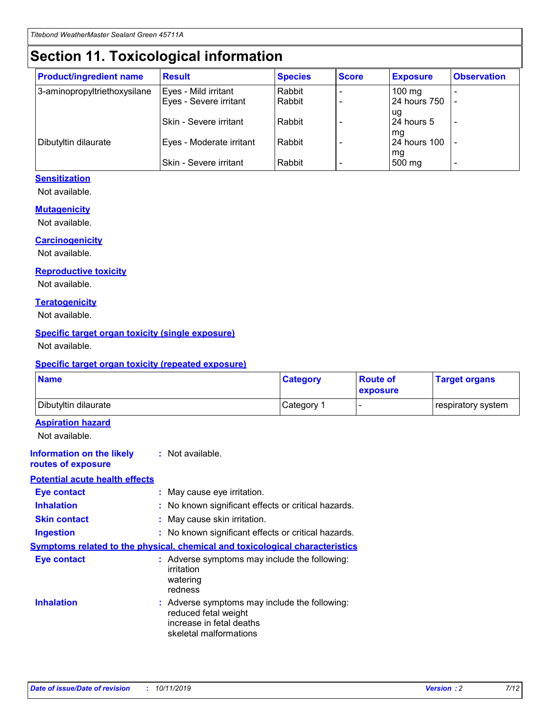## **Section 11. Toxicological information**

| <b>Product/ingredient name</b> | <b>Result</b>            | <b>Species</b> | <b>Score</b> | <b>Exposure</b>           | <b>Observation</b> |
|--------------------------------|--------------------------|----------------|--------------|---------------------------|--------------------|
| 3-aminopropyltriethoxysilane   | Eyes - Mild irritant     | Rabbit         |              | $100$ mg                  |                    |
|                                | Eyes - Severe irritant   | Rabbit         |              | 24 hours 750              |                    |
|                                |                          |                |              | ug                        |                    |
|                                | Skin - Severe irritant   | Rabbit         |              | 24 hours 5                | -                  |
| Dibutyltin dilaurate           | Eyes - Moderate irritant | Rabbit         |              | mq<br><b>24 hours 100</b> |                    |
|                                |                          |                |              | mg                        |                    |
|                                | Skin - Severe irritant   | Rabbit         |              | 500 mg                    |                    |

#### **Sensitization**

Not available.

#### **Mutagenicity**

Not available.

#### **Carcinogenicity**

Not available.

#### **Reproductive toxicity**

Not available.

#### **Teratogenicity**

Not available.

#### **Specific target organ toxicity (single exposure)**

Not available.

#### **Specific target organ toxicity (repeated exposure)**

| <b>Name</b>                                                                  |                                                                            | <b>Category</b>                                     | <b>Route of</b><br>exposure | <b>Target organs</b> |
|------------------------------------------------------------------------------|----------------------------------------------------------------------------|-----------------------------------------------------|-----------------------------|----------------------|
| Dibutyltin dilaurate                                                         |                                                                            | Category 1                                          | -                           | respiratory system   |
| <b>Aspiration hazard</b><br>Not available.                                   |                                                                            |                                                     |                             |                      |
| <b>Information on the likely</b><br>routes of exposure                       | : Not available.                                                           |                                                     |                             |                      |
| <b>Potential acute health effects</b>                                        |                                                                            |                                                     |                             |                      |
| <b>Eye contact</b>                                                           | : May cause eye irritation.                                                |                                                     |                             |                      |
| <b>Inhalation</b>                                                            |                                                                            | : No known significant effects or critical hazards. |                             |                      |
| <b>Skin contact</b>                                                          | : May cause skin irritation.                                               |                                                     |                             |                      |
| <b>Ingestion</b>                                                             |                                                                            | : No known significant effects or critical hazards. |                             |                      |
| Symptoms related to the physical, chemical and toxicological characteristics |                                                                            |                                                     |                             |                      |
| <b>Eye contact</b>                                                           | irritation<br>watering<br>redness                                          | : Adverse symptoms may include the following:       |                             |                      |
| <b>Inhalation</b>                                                            | reduced fetal weight<br>increase in fetal deaths<br>skeletal malformations | : Adverse symptoms may include the following:       |                             |                      |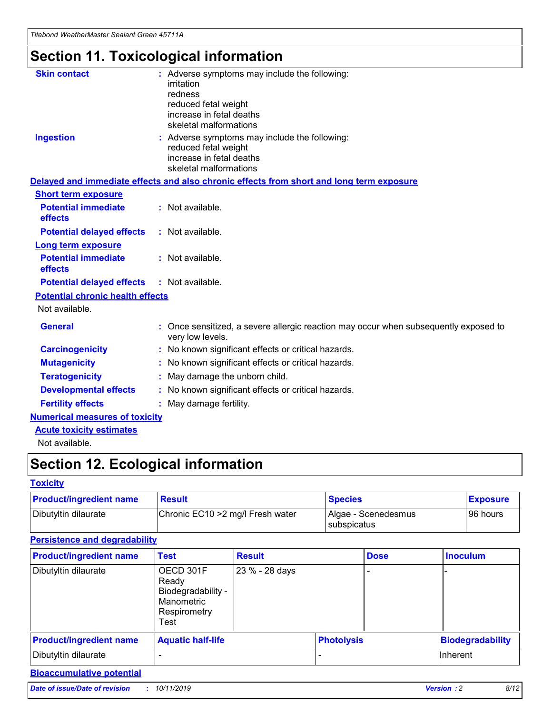## **Section 11. Toxicological information**

| <b>Skin contact</b>                     | : Adverse symptoms may include the following:<br>irritation<br>redness<br>reduced fetal weight<br>increase in fetal deaths<br>skeletal malformations |
|-----------------------------------------|------------------------------------------------------------------------------------------------------------------------------------------------------|
| <b>Ingestion</b>                        | : Adverse symptoms may include the following:<br>reduced fetal weight<br>increase in fetal deaths<br>skeletal malformations                          |
|                                         | Delayed and immediate effects and also chronic effects from short and long term exposure                                                             |
| <b>Short term exposure</b>              |                                                                                                                                                      |
| <b>Potential immediate</b><br>effects   | : Not available.                                                                                                                                     |
| <b>Potential delayed effects</b>        | : Not available.                                                                                                                                     |
| <b>Long term exposure</b>               |                                                                                                                                                      |
| <b>Potential immediate</b><br>effects   | : Not available.                                                                                                                                     |
| <b>Potential delayed effects</b>        | : Not available.                                                                                                                                     |
| <b>Potential chronic health effects</b> |                                                                                                                                                      |
| Not available.                          |                                                                                                                                                      |
| <b>General</b>                          | : Once sensitized, a severe allergic reaction may occur when subsequently exposed to<br>very low levels.                                             |
| <b>Carcinogenicity</b>                  | : No known significant effects or critical hazards.                                                                                                  |
| <b>Mutagenicity</b>                     | No known significant effects or critical hazards.                                                                                                    |
| <b>Teratogenicity</b>                   | May damage the unborn child.                                                                                                                         |
| <b>Developmental effects</b>            | No known significant effects or critical hazards.                                                                                                    |
| <b>Fertility effects</b>                | : May damage fertility.                                                                                                                              |
| <b>Numerical measures of toxicity</b>   |                                                                                                                                                      |
| <b>Acute toxicity estimates</b>         |                                                                                                                                                      |
|                                         |                                                                                                                                                      |

Not available.

## **Section 12. Ecological information**

#### **Toxicity**

| <b>Product/ingredient name</b> | <b>Result</b>                     | <b>Species</b>                       | <b>Exposure</b> |
|--------------------------------|-----------------------------------|--------------------------------------|-----------------|
| Dibutyltin dilaurate           | Chronic EC10 > 2 mg/l Fresh water | Algae - Scenedesmus<br>I subspicatus | l 96 hours i    |

### **Persistence and degradability**

| <b>Product/ingredient name</b> | <b>Test</b>                                                                    | <b>Result</b>  |                   | <b>Dose</b> | <b>Inoculum</b>         |
|--------------------------------|--------------------------------------------------------------------------------|----------------|-------------------|-------------|-------------------------|
| Dibutyltin dilaurate           | OECD 301F<br>Ready<br>Biodegradability -<br>Manometric<br>Respirometry<br>Test | 23 % - 28 days |                   |             |                         |
| <b>Product/ingredient name</b> | <b>Aquatic half-life</b>                                                       |                | <b>Photolysis</b> |             | <b>Biodegradability</b> |
| Dibutyltin dilaurate           |                                                                                |                |                   |             | Inherent                |

### **Bioaccumulative potential**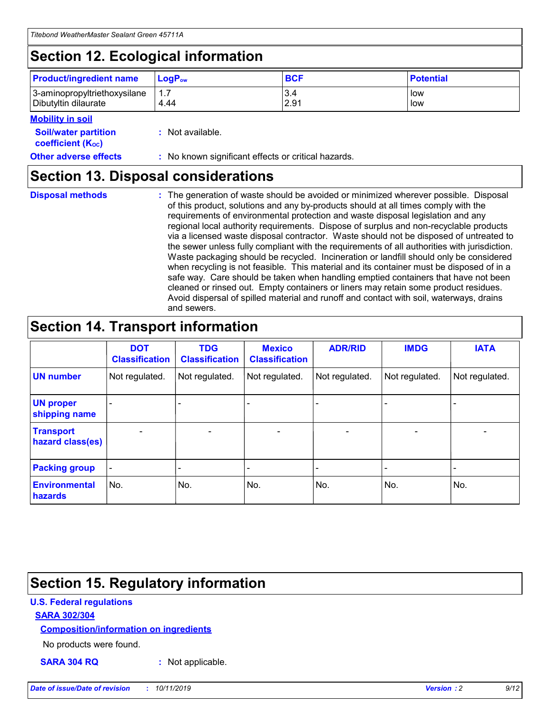## **Section 12. Ecological information**

| <b>Product/ingredient name</b>                       | ∣LoqP <sub>ow</sub> | <b>BCF</b>  | <b>Potential</b> |
|------------------------------------------------------|---------------------|-------------|------------------|
| 3-aminopropyltriethoxysilane<br>Dibutyltin dilaurate | 4.44                | 3.4<br>2.91 | low<br>low       |

#### **Mobility in soil**

| <i></i>                                                       |                                                     |
|---------------------------------------------------------------|-----------------------------------------------------|
| <b>Soil/water partition</b><br>coefficient (K <sub>oc</sub> ) | : Not available.                                    |
| <b>Other adverse effects</b>                                  | : No known significant effects or critical hazards. |

### **Section 13. Disposal considerations**

|  | <b>Disposal methods</b> |  |
|--|-------------------------|--|

**Disposal methods** : The generation of waste should be avoided or minimized wherever possible. Disposal of this product, solutions and any by-products should at all times comply with the requirements of environmental protection and waste disposal legislation and any regional local authority requirements. Dispose of surplus and non-recyclable products via a licensed waste disposal contractor. Waste should not be disposed of untreated to the sewer unless fully compliant with the requirements of all authorities with jurisdiction. Waste packaging should be recycled. Incineration or landfill should only be considered when recycling is not feasible. This material and its container must be disposed of in a safe way. Care should be taken when handling emptied containers that have not been cleaned or rinsed out. Empty containers or liners may retain some product residues. Avoid dispersal of spilled material and runoff and contact with soil, waterways, drains and sewers.

## **Section 14. Transport information**

|                                      | <b>DOT</b><br><b>Classification</b> | <b>TDG</b><br><b>Classification</b> | <b>Mexico</b><br><b>Classification</b> | <b>ADR/RID</b>           | <b>IMDG</b>              | <b>IATA</b>              |
|--------------------------------------|-------------------------------------|-------------------------------------|----------------------------------------|--------------------------|--------------------------|--------------------------|
| <b>UN number</b>                     | Not regulated.                      | Not regulated.                      | Not regulated.                         | Not regulated.           | Not regulated.           | Not regulated.           |
| <b>UN proper</b><br>shipping name    | $\qquad \qquad \blacksquare$        |                                     |                                        |                          |                          |                          |
| <b>Transport</b><br>hazard class(es) | $\blacksquare$                      | $\blacksquare$                      | $\blacksquare$                         | $\overline{\phantom{a}}$ | $\blacksquare$           | $\blacksquare$           |
| <b>Packing group</b>                 | $\overline{\phantom{a}}$            | $\overline{\phantom{0}}$            | $\qquad \qquad \blacksquare$           | -                        | $\overline{\phantom{0}}$ | $\overline{\phantom{a}}$ |
| <b>Environmental</b><br>hazards      | No.                                 | No.                                 | No.                                    | No.                      | No.                      | No.                      |

## **Section 15. Regulatory information**

#### **U.S. Federal regulations**

#### **SARA 302/304**

#### **Composition/information on ingredients**

No products were found.

**SARA 304 RQ :** Not applicable.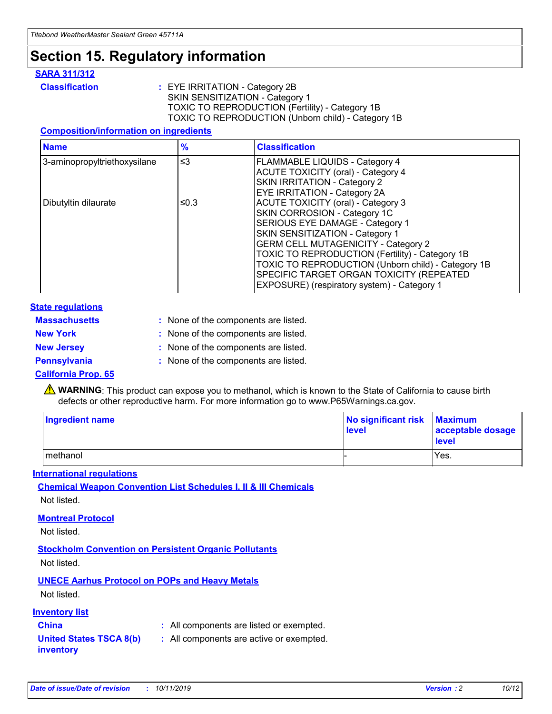### **Section 15. Regulatory information**

#### **SARA 311/312**

**Classification :** EYE IRRITATION - Category 2B SKIN SENSITIZATION - Category 1 TOXIC TO REPRODUCTION (Fertility) - Category 1B TOXIC TO REPRODUCTION (Unborn child) - Category 1B

#### **Composition/information on ingredients**

| <b>Name</b>                  | $\frac{9}{6}$ | <b>Classification</b>                                                                                            |
|------------------------------|---------------|------------------------------------------------------------------------------------------------------------------|
| 3-aminopropyltriethoxysilane | $\leq$ 3      | <b>FLAMMABLE LIQUIDS - Category 4</b><br><b>ACUTE TOXICITY (oral) - Category 4</b>                               |
|                              |               | SKIN IRRITATION - Category 2<br>EYE IRRITATION - Category 2A                                                     |
| Dibutyltin dilaurate         | ≤0.3          | ACUTE TOXICITY (oral) - Category 3<br>SKIN CORROSION - Category 1C                                               |
|                              |               | SERIOUS EYE DAMAGE - Category 1<br>SKIN SENSITIZATION - Category 1<br><b>GERM CELL MUTAGENICITY - Category 2</b> |
|                              |               | TOXIC TO REPRODUCTION (Fertility) - Category 1B<br>TOXIC TO REPRODUCTION (Unborn child) - Category 1B            |
|                              |               | SPECIFIC TARGET ORGAN TOXICITY (REPEATED<br>EXPOSURE) (respiratory system) - Category 1                          |

#### **State regulations**

| <b>Massachusetts</b> | : None of the components are listed. |
|----------------------|--------------------------------------|
| <b>New York</b>      | : None of the components are listed. |
| <b>New Jersey</b>    | : None of the components are listed. |
| <b>Pennsylvania</b>  | : None of the components are listed. |

#### **California Prop. 65**

**A** WARNING: This product can expose you to methanol, which is known to the State of California to cause birth defects or other reproductive harm. For more information go to www.P65Warnings.ca.gov.

| <b>Ingredient name</b> | No significant risk Maximum<br>level | acceptable dosage<br>level |
|------------------------|--------------------------------------|----------------------------|
| methanol               |                                      | Yes.                       |

#### **International regulations**

**Chemical Weapon Convention List Schedules I, II & III Chemicals** Not listed.

#### **Montreal Protocol**

Not listed.

**Stockholm Convention on Persistent Organic Pollutants**

Not listed.

### **UNECE Aarhus Protocol on POPs and Heavy Metals**

Not listed.

#### **Inventory list**

### **China :** All components are listed or exempted.

**United States TSCA 8(b) inventory :** All components are active or exempted.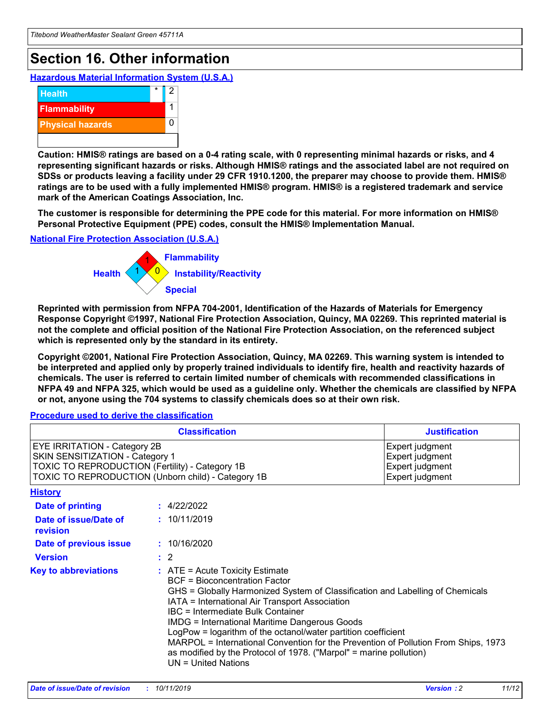## **Section 16. Other information**

**Hazardous Material Information System (U.S.A.)**



**Caution: HMIS® ratings are based on a 0-4 rating scale, with 0 representing minimal hazards or risks, and 4 representing significant hazards or risks. Although HMIS® ratings and the associated label are not required on SDSs or products leaving a facility under 29 CFR 1910.1200, the preparer may choose to provide them. HMIS® ratings are to be used with a fully implemented HMIS® program. HMIS® is a registered trademark and service mark of the American Coatings Association, Inc.**

**The customer is responsible for determining the PPE code for this material. For more information on HMIS® Personal Protective Equipment (PPE) codes, consult the HMIS® Implementation Manual.**

#### **National Fire Protection Association (U.S.A.)**



**Reprinted with permission from NFPA 704-2001, Identification of the Hazards of Materials for Emergency Response Copyright ©1997, National Fire Protection Association, Quincy, MA 02269. This reprinted material is not the complete and official position of the National Fire Protection Association, on the referenced subject which is represented only by the standard in its entirety.**

**Copyright ©2001, National Fire Protection Association, Quincy, MA 02269. This warning system is intended to be interpreted and applied only by properly trained individuals to identify fire, health and reactivity hazards of chemicals. The user is referred to certain limited number of chemicals with recommended classifications in NFPA 49 and NFPA 325, which would be used as a guideline only. Whether the chemicals are classified by NFPA or not, anyone using the 704 systems to classify chemicals does so at their own risk.**

#### **Procedure used to derive the classification**

|                                                                                                                    | <b>Classification</b>                                                                                                                                                                                                                                                                                                                                                                                                                                                                                                                                         | <b>Justification</b>                                                     |
|--------------------------------------------------------------------------------------------------------------------|---------------------------------------------------------------------------------------------------------------------------------------------------------------------------------------------------------------------------------------------------------------------------------------------------------------------------------------------------------------------------------------------------------------------------------------------------------------------------------------------------------------------------------------------------------------|--------------------------------------------------------------------------|
| EYE IRRITATION - Category 2B<br>SKIN SENSITIZATION - Category 1<br>TOXIC TO REPRODUCTION (Fertility) - Category 1B | TOXIC TO REPRODUCTION (Unborn child) - Category 1B                                                                                                                                                                                                                                                                                                                                                                                                                                                                                                            | Expert judgment<br>Expert judgment<br>Expert judgment<br>Expert judgment |
| <b>History</b>                                                                                                     |                                                                                                                                                                                                                                                                                                                                                                                                                                                                                                                                                               |                                                                          |
| Date of printing                                                                                                   | : 4/22/2022                                                                                                                                                                                                                                                                                                                                                                                                                                                                                                                                                   |                                                                          |
| Date of issue/Date of<br>revision                                                                                  | : 10/11/2019                                                                                                                                                                                                                                                                                                                                                                                                                                                                                                                                                  |                                                                          |
| Date of previous issue                                                                                             | : 10/16/2020                                                                                                                                                                                                                                                                                                                                                                                                                                                                                                                                                  |                                                                          |
| <b>Version</b>                                                                                                     | $\therefore$ 2                                                                                                                                                                                                                                                                                                                                                                                                                                                                                                                                                |                                                                          |
| <b>Key to abbreviations</b>                                                                                        | $:$ ATE = Acute Toxicity Estimate<br><b>BCF</b> = Bioconcentration Factor<br>GHS = Globally Harmonized System of Classification and Labelling of Chemicals<br>IATA = International Air Transport Association<br>IBC = Intermediate Bulk Container<br><b>IMDG = International Maritime Dangerous Goods</b><br>LogPow = logarithm of the octanol/water partition coefficient<br>MARPOL = International Convention for the Prevention of Pollution From Ships, 1973<br>as modified by the Protocol of 1978. ("Marpol" = marine pollution)<br>UN = United Nations |                                                                          |